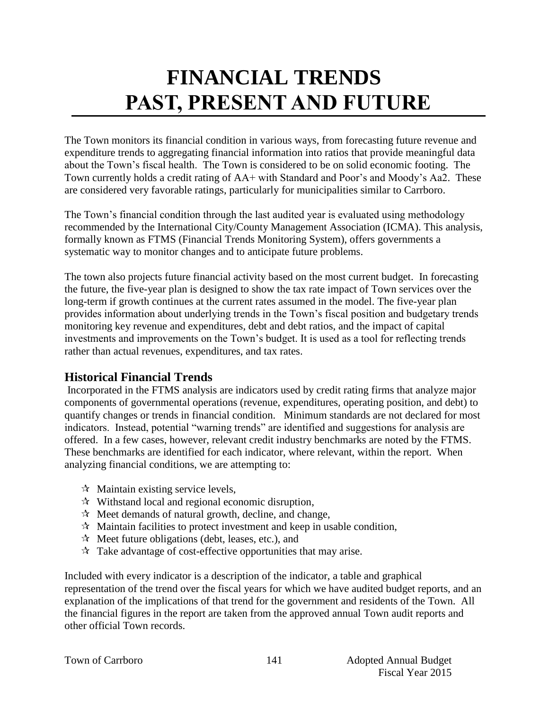# **FINANCIAL TRENDS PAST, PRESENT AND FUTURE**

The Town monitors its financial condition in various ways, from forecasting future revenue and expenditure trends to aggregating financial information into ratios that provide meaningful data about the Town's fiscal health. The Town is considered to be on solid economic footing. The Town currently holds a credit rating of AA+ with Standard and Poor's and Moody's Aa2. These are considered very favorable ratings, particularly for municipalities similar to Carrboro.

The Town's financial condition through the last audited year is evaluated using methodology recommended by the International City/County Management Association (ICMA). This analysis, formally known as FTMS (Financial Trends Monitoring System), offers governments a systematic way to monitor changes and to anticipate future problems.

The town also projects future financial activity based on the most current budget. In forecasting the future, the five-year plan is designed to show the tax rate impact of Town services over the long-term if growth continues at the current rates assumed in the model. The five-year plan provides information about underlying trends in the Town's fiscal position and budgetary trends monitoring key revenue and expenditures, debt and debt ratios, and the impact of capital investments and improvements on the Town's budget. It is used as a tool for reflecting trends rather than actual revenues, expenditures, and tax rates.

# **Historical Financial Trends**

Incorporated in the FTMS analysis are indicators used by credit rating firms that analyze major components of governmental operations (revenue, expenditures, operating position, and debt) to quantify changes or trends in financial condition. Minimum standards are not declared for most indicators. Instead, potential "warning trends" are identified and suggestions for analysis are offered. In a few cases, however, relevant credit industry benchmarks are noted by the FTMS. These benchmarks are identified for each indicator, where relevant, within the report. When analyzing financial conditions, we are attempting to:

- $\forall$  Maintain existing service levels,
- $\mathcal{R}$  Withstand local and regional economic disruption,
- $\mathcal{R}$  Meet demands of natural growth, decline, and change,
- $\mathcal{R}$  Maintain facilities to protect investment and keep in usable condition,
- $\mathcal{R}$  Meet future obligations (debt, leases, etc.), and
- $\mathcal{R}$  Take advantage of cost-effective opportunities that may arise.

Included with every indicator is a description of the indicator, a table and graphical representation of the trend over the fiscal years for which we have audited budget reports, and an explanation of the implications of that trend for the government and residents of the Town. All the financial figures in the report are taken from the approved annual Town audit reports and other official Town records.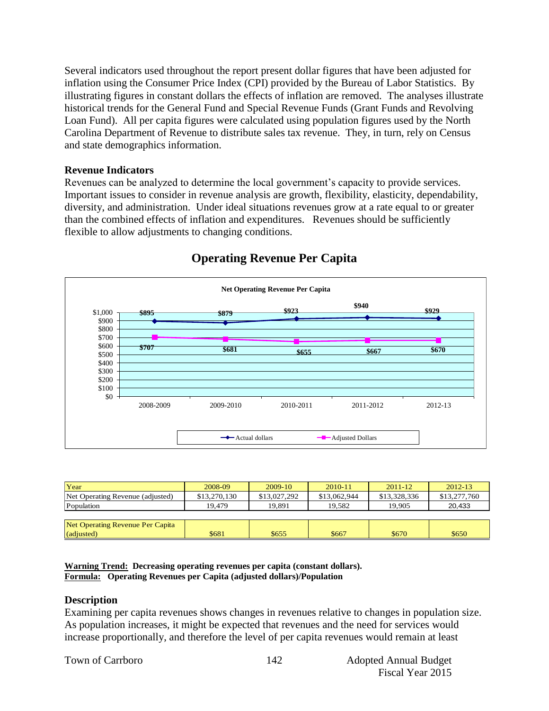Several indicators used throughout the report present dollar figures that have been adjusted for inflation using the Consumer Price Index (CPI) provided by the Bureau of Labor Statistics. By illustrating figures in constant dollars the effects of inflation are removed. The analyses illustrate historical trends for the General Fund and Special Revenue Funds (Grant Funds and Revolving Loan Fund). All per capita figures were calculated using population figures used by the North Carolina Department of Revenue to distribute sales tax revenue. They, in turn, rely on Census and state demographics information.

#### **Revenue Indicators**

Revenues can be analyzed to determine the local government's capacity to provide services. Important issues to consider in revenue analysis are growth, flexibility, elasticity, dependability, diversity, and administration. Under ideal situations revenues grow at a rate equal to or greater than the combined effects of inflation and expenditures. Revenues should be sufficiently flexible to allow adjustments to changing conditions.



# **Operating Revenue Per Capita**

| Year                             | 2008-09      | $2009-10$    | 2010-11      | $2011 - 12$  | $2012 - 13$  |
|----------------------------------|--------------|--------------|--------------|--------------|--------------|
| Net Operating Revenue (adjusted) | \$13,270,130 | \$13,027,292 | \$13,062,944 | \$13,328,336 | \$13,277,760 |
| Population                       | 19.479       | 19.891       | 19.582       | 19.905       | 20.433       |
|                                  |              |              |              |              |              |
| Net Operating Revenue Per Capita |              |              |              |              |              |
| (adjusted)                       | \$681        | \$655        | \$667        | \$670        | \$650        |

**Warning Trend: Decreasing operating revenues per capita (constant dollars). Formula: Operating Revenues per Capita (adjusted dollars)/Population**

#### **Description**

Examining per capita revenues shows changes in revenues relative to changes in population size. As population increases, it might be expected that revenues and the need for services would increase proportionally, and therefore the level of per capita revenues would remain at least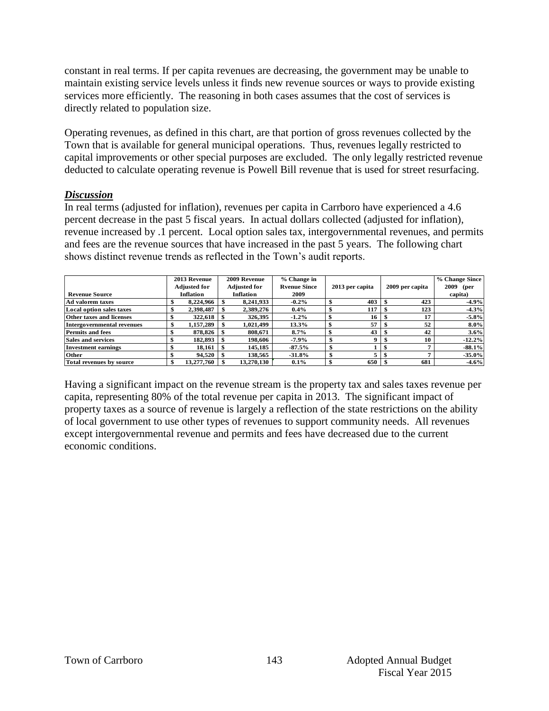constant in real terms. If per capita revenues are decreasing, the government may be unable to maintain existing service levels unless it finds new revenue sources or ways to provide existing services more efficiently. The reasoning in both cases assumes that the cost of services is directly related to population size.

Operating revenues, as defined in this chart, are that portion of gross revenues collected by the Town that is available for general municipal operations. Thus, revenues legally restricted to capital improvements or other special purposes are excluded. The only legally restricted revenue deducted to calculate operating revenue is Powell Bill revenue that is used for street resurfacing.

#### *Discussion*

In real terms (adjusted for inflation), revenues per capita in Carrboro have experienced a 4.6 percent decrease in the past 5 fiscal years. In actual dollars collected (adjusted for inflation), revenue increased by .1 percent. Local option sales tax, intergovernmental revenues, and permits and fees are the revenue sources that have increased in the past 5 years. The following chart shows distinct revenue trends as reflected in the Town's audit reports.

|                                   | 2013 Revenue        |  | 2009 Revenue        | % Change in         |                 |                 |     | % Change Since |
|-----------------------------------|---------------------|--|---------------------|---------------------|-----------------|-----------------|-----|----------------|
|                                   | <b>Adjusted for</b> |  | <b>Adjusted for</b> | <b>Ryenue Since</b> | 2013 per capita | 2009 per capita |     | 2009<br>(per   |
| <b>Revenue Source</b>             | <b>Inflation</b>    |  | <b>Inflation</b>    | 2009                |                 |                 |     | capita)        |
| Ad valorem taxes                  | 8,224,966           |  | 8,241,933           | $-0.2\%$            | 403             |                 | 423 | $-4.9%$        |
| Local option sales taxes          | 2,398,487           |  | 2,389,276           | $0.4\%$             | 117             |                 | 123 | $-4.3%$        |
| <b>Other taxes and licenses</b>   | 322.618             |  | 326,395             | $-1.2\%$            | 16              |                 | 17  | $-5.8\%$       |
| <b>Intergovernmental revenues</b> | 1,157,289           |  | 1.021.499           | 13.3%               | 57              |                 | 52  | $8.0\%$        |
| <b>Permits and fees</b>           | 878,826             |  | 808.671             | 8.7%                | 43              |                 | 42  | 3.6%           |
| <b>Sales and services</b>         | 182.893             |  | 198.606             | $-7.9\%$            | 0               |                 | 10  | $-12.2%$       |
| <b>Investment earnings</b>        | 18.161              |  | 145.185             | $-87.5\%$           |                 |                 |     | $-88.1\%$      |
| <b>Other</b>                      | 94.520              |  | 138.565             | $-31.8\%$           | 5               |                 |     | $-35.0%$       |
| Total revenues by source          | 13,277,760          |  | 13,270,130          | $0.1\%$             | 650             |                 | 681 | $-4.6%$        |

Having a significant impact on the revenue stream is the property tax and sales taxes revenue per capita, representing 80% of the total revenue per capita in 2013. The significant impact of property taxes as a source of revenue is largely a reflection of the state restrictions on the ability of local government to use other types of revenues to support community needs. All revenues except intergovernmental revenue and permits and fees have decreased due to the current economic conditions.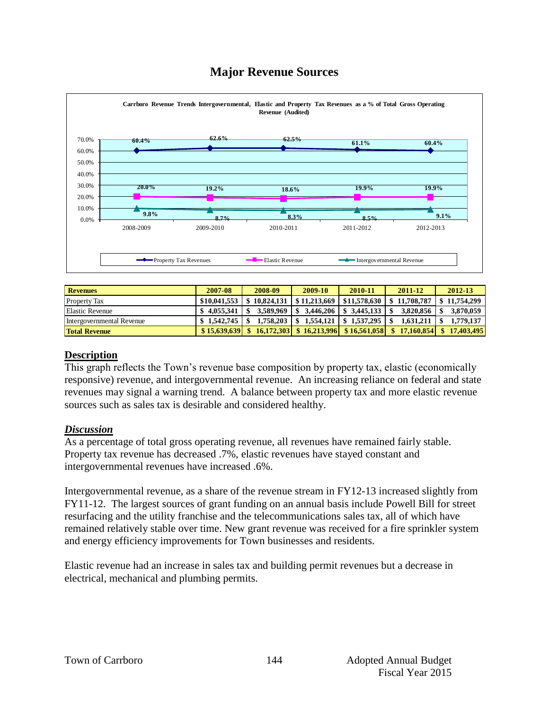# **Major Revenue Sources**



|                           | -Property Tax Revenues | Elastic Revenue |                 | Intergovernmental Revenue |            |            |
|---------------------------|------------------------|-----------------|-----------------|---------------------------|------------|------------|
|                           |                        |                 |                 |                           |            |            |
| <b>Revenues</b>           | 2007-08                | 2008-09         | 2009-10         | 2010-11                   | 2011-12    | 2012-13    |
| <b>Property Tax</b>       | \$10,041,553           | 10.824.131      | \$11,213,669    | \$11,578,630              | 11,708,787 | 11,754,299 |
| <b>Elastic Revenue</b>    | \$4.055.341            | 3,589,969       | 3,446,206<br>\$ | 3,445,133                 | 3,820,856  | 3,870,059  |
| Intergovernmental Revenue | 1,542,745              | 1.758.203       | 1.554,121       | 1.537.295                 | 1,631,211  | 1,779,137  |
| <b>Total Revenue</b>      | \$15,639,639           | 16.172.303      | 16.213.996      | \$16.561,058              | 17,160,854 | 17,403,495 |

#### **Description**

This graph reflects the Town's revenue base composition by property tax, elastic (economically responsive) revenue, and intergovernmental revenue. An increasing reliance on federal and state revenues may signal a warning trend. A balance between property tax and more elastic revenue sources such as sales tax is desirable and considered healthy.

#### *Discussion*

As a percentage of total gross operating revenue, all revenues have remained fairly stable. Property tax revenue has decreased .7%, elastic revenues have stayed constant and intergovernmental revenues have increased .6%.

Intergovernmental revenue, as a share of the revenue stream in FY12-13 increased slightly from FY11-12. The largest sources of grant funding on an annual basis include Powell Bill for street resurfacing and the utility franchise and the telecommunications sales tax, all of which have remained relatively stable over time. New grant revenue was received for a fire sprinkler system and energy efficiency improvements for Town businesses and residents.

Elastic revenue had an increase in sales tax and building permit revenues but a decrease in electrical, mechanical and plumbing permits.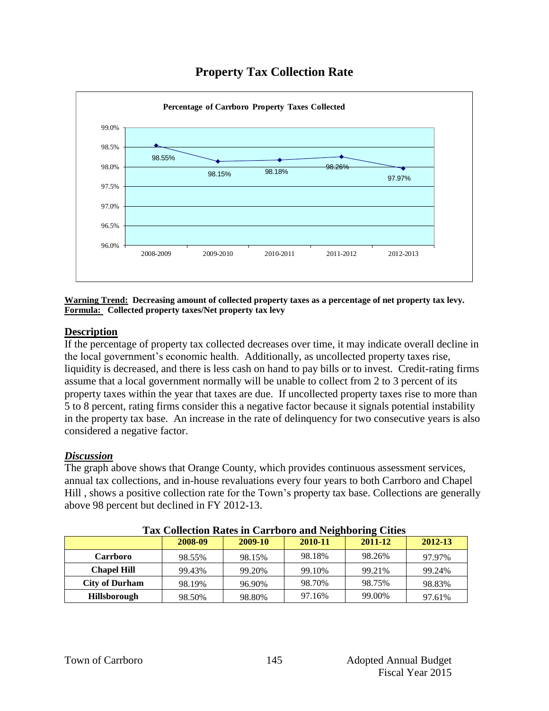



**Warning Trend: Decreasing amount of collected property taxes as a percentage of net property tax levy. Formula: Collected property taxes/Net property tax levy**

#### **Description**

If the percentage of property tax collected decreases over time, it may indicate overall decline in the local government's economic health. Additionally, as uncollected property taxes rise, liquidity is decreased, and there is less cash on hand to pay bills or to invest. Credit-rating firms assume that a local government normally will be unable to collect from 2 to 3 percent of its property taxes within the year that taxes are due. If uncollected property taxes rise to more than 5 to 8 percent, rating firms consider this a negative factor because it signals potential instability in the property tax base. An increase in the rate of delinquency for two consecutive years is also considered a negative factor.

#### *Discussion*

The graph above shows that Orange County, which provides continuous assessment services, annual tax collections, and in-house revaluations every four years to both Carrboro and Chapel Hill , shows a positive collection rate for the Town's property tax base. Collections are generally above 98 percent but declined in FY 2012-13.

| Tus Concentru Rutes in Curroore and Indianoning Chies |         |         |         |         |         |  |  |  |  |
|-------------------------------------------------------|---------|---------|---------|---------|---------|--|--|--|--|
|                                                       | 2008-09 | 2009-10 | 2010-11 | 2011-12 | 2012-13 |  |  |  |  |
| <b>Carrboro</b>                                       | 98.55%  | 98.15%  | 98.18%  | 98.26%  | 97.97%  |  |  |  |  |
| <b>Chapel Hill</b>                                    | 99.43%  | 99.20%  | 99.10%  | 99.21%  | 99.24%  |  |  |  |  |
| <b>City of Durham</b>                                 | 98.19%  | 96.90%  | 98.70%  | 98.75%  | 98.83%  |  |  |  |  |
| <b>Hillsborough</b>                                   | 98.50%  | 98.80%  | 97.16%  | 99.00%  | 97.61%  |  |  |  |  |

**Tax Collection Rates in Carrboro and Neighboring Cities**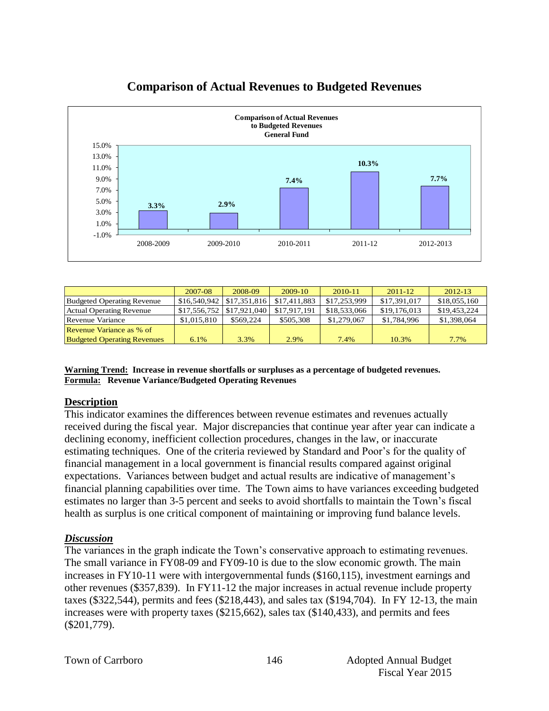

# **Comparison of Actual Revenues to Budgeted Revenues**

|                                    | 2007-08                           | 2008-09   | $2009-10$    | 2010-11      | $2011 - 12$  | $2012 - 13$  |
|------------------------------------|-----------------------------------|-----------|--------------|--------------|--------------|--------------|
| Budgeted Operating Revenue         | $$16,540,942 \mid $17,351,816$    |           | \$17,411,883 | \$17,253,999 | \$17,391,017 | \$18,055,160 |
| <b>Actual Operating Revenue</b>    | $$17,556,752 \;   \; $17,921,040$ |           | \$17,917,191 | \$18,533,066 | \$19,176,013 | \$19,453,224 |
| Revenue Variance                   | \$1,015,810                       | \$569,224 | \$505,308    | \$1,279,067  | \$1,784,996  | \$1,398,064  |
| Revenue Variance as % of           |                                   |           |              |              |              |              |
| <b>Budgeted Operating Revenues</b> | $6.1\%$                           | 3.3%      | 2.9%         | 7.4%         | 10.3%        | 7.7%         |

**Warning Trend: Increase in revenue shortfalls or surpluses as a percentage of budgeted revenues. Formula: Revenue Variance/Budgeted Operating Revenues**

#### **Description**

This indicator examines the differences between revenue estimates and revenues actually received during the fiscal year. Major discrepancies that continue year after year can indicate a declining economy, inefficient collection procedures, changes in the law, or inaccurate estimating techniques. One of the criteria reviewed by Standard and Poor's for the quality of financial management in a local government is financial results compared against original expectations. Variances between budget and actual results are indicative of management's financial planning capabilities over time. The Town aims to have variances exceeding budgeted estimates no larger than 3-5 percent and seeks to avoid shortfalls to maintain the Town's fiscal health as surplus is one critical component of maintaining or improving fund balance levels.

#### *Discussion*

The variances in the graph indicate the Town's conservative approach to estimating revenues. The small variance in FY08-09 and FY09-10 is due to the slow economic growth. The main increases in FY10-11 were with intergovernmental funds (\$160,115), investment earnings and other revenues (\$357,839). In FY11-12 the major increases in actual revenue include property taxes (\$322,544), permits and fees (\$218,443), and sales tax (\$194,704). In FY 12-13, the main increases were with property taxes (\$215,662), sales tax (\$140,433), and permits and fees (\$201,779).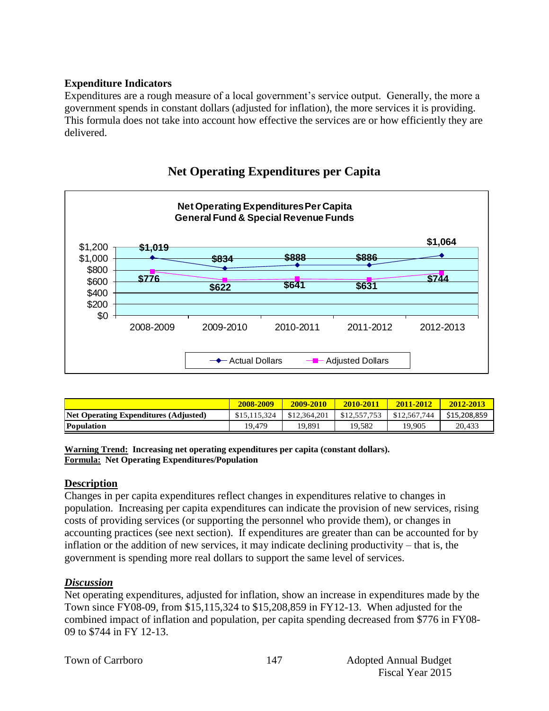#### **Expenditure Indicators**

Expenditures are a rough measure of a local government's service output. Generally, the more a government spends in constant dollars (adjusted for inflation), the more services it is providing. This formula does not take into account how effective the services are or how efficiently they are delivered.



# **Net Operating Expenditures per Capita**

|                                       | 2008-2009    | 2009-2010    | 2010-2011    | 2011-2012    | 2012-2013    |
|---------------------------------------|--------------|--------------|--------------|--------------|--------------|
| Net Operating Expenditures (Adjusted) | \$15,115,324 | \$12,364,201 | \$12,557,753 | \$12,567,744 | \$15,208,859 |
| <b>Population</b>                     | 19.479       | 19.891       | 19.582       | 19.905       | 20.433       |

**Warning Trend: Increasing net operating expenditures per capita (constant dollars). Formula: Net Operating Expenditures/Population**

#### **Description**

Changes in per capita expenditures reflect changes in expenditures relative to changes in population. Increasing per capita expenditures can indicate the provision of new services, rising costs of providing services (or supporting the personnel who provide them), or changes in accounting practices (see next section). If expenditures are greater than can be accounted for by inflation or the addition of new services, it may indicate declining productivity – that is, the government is spending more real dollars to support the same level of services.

#### *Discussion*

Net operating expenditures, adjusted for inflation, show an increase in expenditures made by the Town since FY08-09, from \$15,115,324 to \$15,208,859 in FY12-13. When adjusted for the combined impact of inflation and population, per capita spending decreased from \$776 in FY08- 09 to \$744 in FY 12-13.

|  |  | Town of Carrboro |
|--|--|------------------|
|--|--|------------------|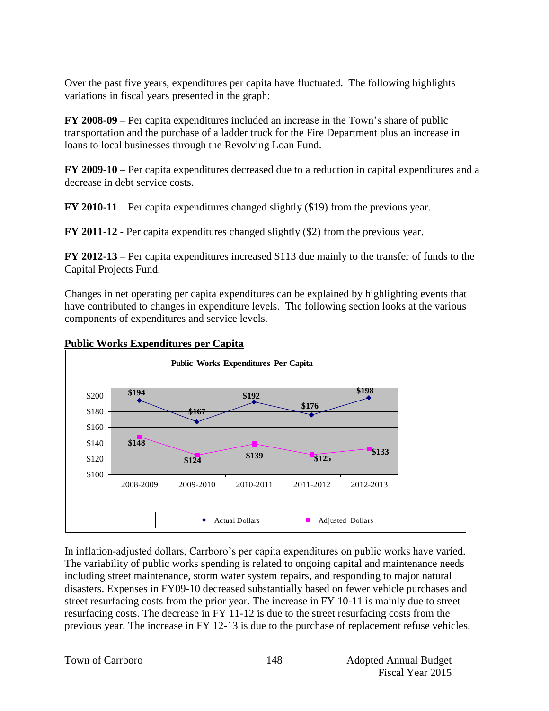Over the past five years, expenditures per capita have fluctuated. The following highlights variations in fiscal years presented in the graph:

**FY 2008-09 –** Per capita expenditures included an increase in the Town's share of public transportation and the purchase of a ladder truck for the Fire Department plus an increase in loans to local businesses through the Revolving Loan Fund.

**FY 2009-10** – Per capita expenditures decreased due to a reduction in capital expenditures and a decrease in debt service costs.

**FY 2010-11** – Per capita expenditures changed slightly (\$19) from the previous year.

**FY 2011-12** - Per capita expenditures changed slightly (\$2) from the previous year.

**FY 2012-13 –** Per capita expenditures increased \$113 due mainly to the transfer of funds to the Capital Projects Fund.

Changes in net operating per capita expenditures can be explained by highlighting events that have contributed to changes in expenditure levels. The following section looks at the various components of expenditures and service levels.

**Public Works Expenditures per Capita**



In inflation-adjusted dollars, Carrboro's per capita expenditures on public works have varied. The variability of public works spending is related to ongoing capital and maintenance needs including street maintenance, storm water system repairs, and responding to major natural disasters. Expenses in FY09-10 decreased substantially based on fewer vehicle purchases and street resurfacing costs from the prior year. The increase in FY 10-11 is mainly due to street resurfacing costs. The decrease in FY 11-12 is due to the street resurfacing costs from the previous year. The increase in FY 12-13 is due to the purchase of replacement refuse vehicles.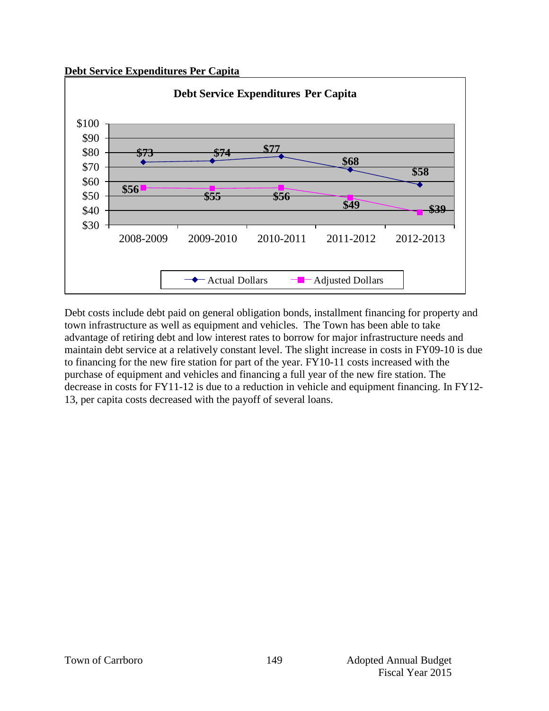**Debt Service Expenditures Per Capita**



Debt costs include debt paid on general obligation bonds, installment financing for property and town infrastructure as well as equipment and vehicles. The Town has been able to take advantage of retiring debt and low interest rates to borrow for major infrastructure needs and maintain debt service at a relatively constant level. The slight increase in costs in FY09-10 is due to financing for the new fire station for part of the year. FY10-11 costs increased with the purchase of equipment and vehicles and financing a full year of the new fire station. The decrease in costs for FY11-12 is due to a reduction in vehicle and equipment financing. In FY12- 13, per capita costs decreased with the payoff of several loans.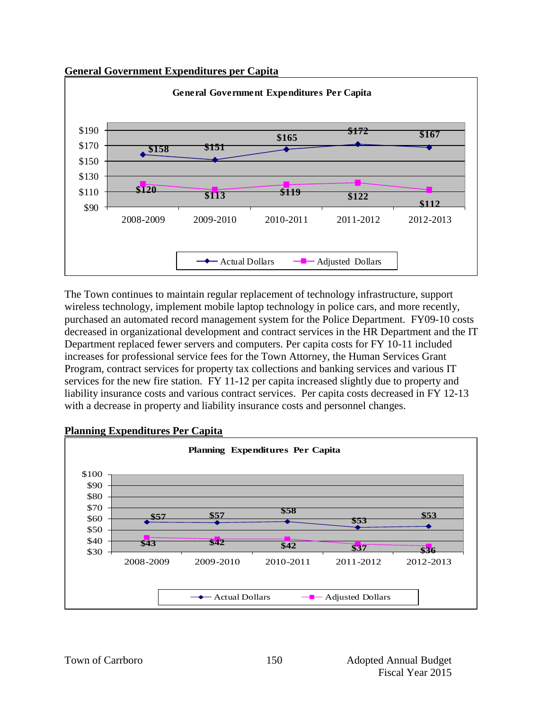



The Town continues to maintain regular replacement of technology infrastructure, support wireless technology, implement mobile laptop technology in police cars, and more recently, purchased an automated record management system for the Police Department. FY09-10 costs decreased in organizational development and contract services in the HR Department and the IT Department replaced fewer servers and computers. Per capita costs for FY 10-11 included increases for professional service fees for the Town Attorney, the Human Services Grant Program, contract services for property tax collections and banking services and various IT services for the new fire station. FY 11-12 per capita increased slightly due to property and liability insurance costs and various contract services. Per capita costs decreased in FY 12-13 with a decrease in property and liability insurance costs and personnel changes.



#### **Planning Expenditures Per Capita**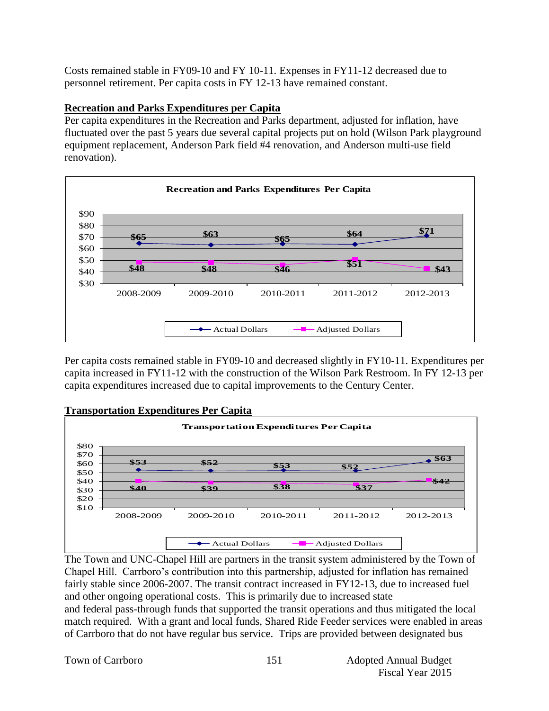Costs remained stable in FY09-10 and FY 10-11. Expenses in FY11-12 decreased due to personnel retirement. Per capita costs in FY 12-13 have remained constant.

#### **Recreation and Parks Expenditures per Capita**

Per capita expenditures in the Recreation and Parks department, adjusted for inflation, have fluctuated over the past 5 years due several capital projects put on hold (Wilson Park playground equipment replacement, Anderson Park field #4 renovation, and Anderson multi-use field renovation).



Per capita costs remained stable in FY09-10 and decreased slightly in FY10-11. Expenditures per capita increased in FY11-12 with the construction of the Wilson Park Restroom. In FY 12-13 per capita expenditures increased due to capital improvements to the Century Center.



The Town and UNC-Chapel Hill are partners in the transit system administered by the Town of Chapel Hill. Carrboro's contribution into this partnership, adjusted for inflation has remained fairly stable since 2006-2007. The transit contract increased in FY12-13, due to increased fuel and other ongoing operational costs. This is primarily due to increased state and federal pass-through funds that supported the transit operations and thus mitigated the local match required. With a grant and local funds, Shared Ride Feeder services were enabled in areas of Carrboro that do not have regular bus service. Trips are provided between designated bus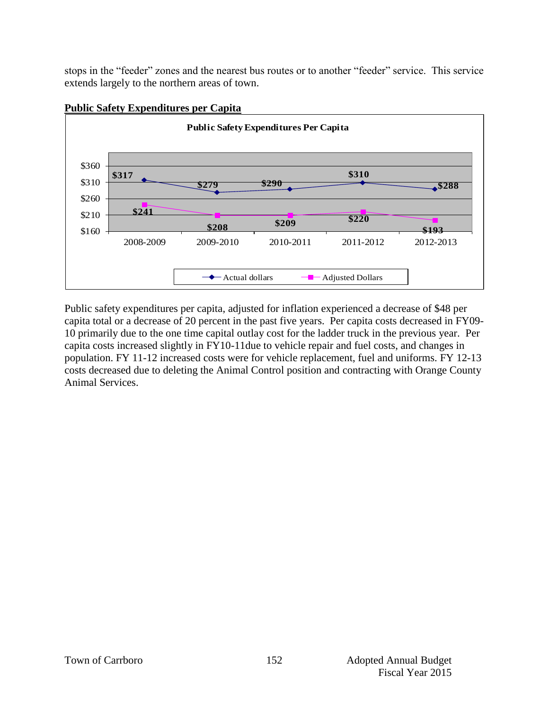stops in the "feeder" zones and the nearest bus routes or to another "feeder" service. This service extends largely to the northern areas of town.



#### **Public Safety Expenditures per Capita**

Public safety expenditures per capita, adjusted for inflation experienced a decrease of \$48 per capita total or a decrease of 20 percent in the past five years. Per capita costs decreased in FY09- 10 primarily due to the one time capital outlay cost for the ladder truck in the previous year. Per capita costs increased slightly in FY10-11due to vehicle repair and fuel costs, and changes in population. FY 11-12 increased costs were for vehicle replacement, fuel and uniforms. FY 12-13 costs decreased due to deleting the Animal Control position and contracting with Orange County Animal Services.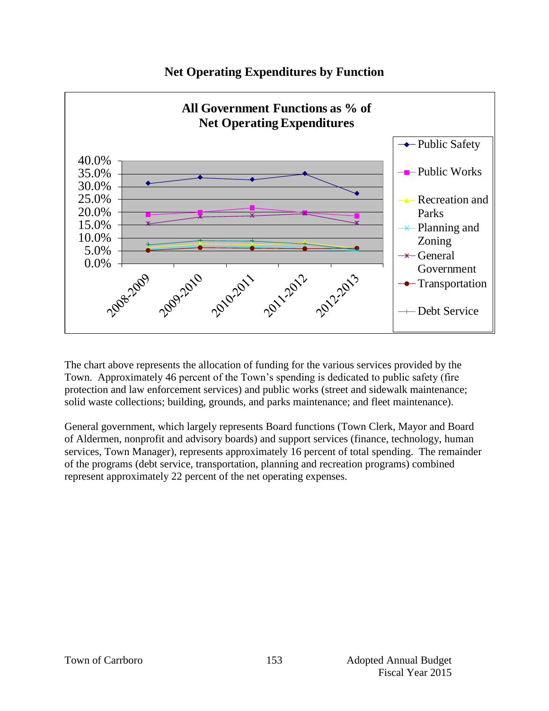

# **Net Operating Expenditures by Function**

The chart above represents the allocation of funding for the various services provided by the Town. Approximately 46 percent of the Town's spending is dedicated to public safety (fire protection and law enforcement services) and public works (street and sidewalk maintenance; solid waste collections; building, grounds, and parks maintenance; and fleet maintenance).

General government, which largely represents Board functions (Town Clerk, Mayor and Board of Aldermen, nonprofit and advisory boards) and support services (finance, technology, human services, Town Manager), represents approximately 16 percent of total spending. The remainder of the programs (debt service, transportation, planning and recreation programs) combined represent approximately 22 percent of the net operating expenses.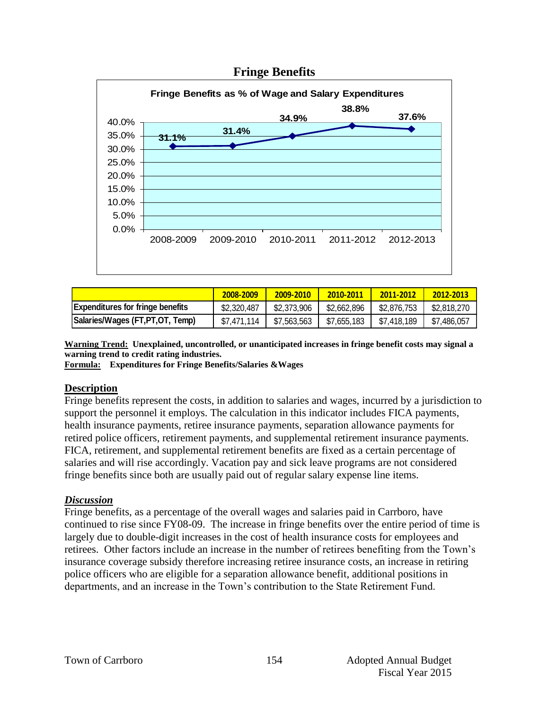

# **2008-2009 2009-2010 2010-2011 2011-2012 2012-2013 Expenditures for fringe benefits**  $$2,320,487$   $$2,373,906$   $$2,662,896$   $$2,876,753$   $$2,818,270$ **Salaries/Wages (FT,PT,OT, Temp)**  $\left| \begin{array}{c} \$7,471,114 \end{array} \right|$  \$7,563,563  $\left| \begin{array}{c} \$7,655,183 \end{array} \right|$  \$7,418,189  $\left| \begin{array}{c} \$7,486,057 \end{array} \right|$

**Warning Trend: Unexplained, uncontrolled, or unanticipated increases in fringe benefit costs may signal a warning trend to credit rating industries.**

**Formula: Expenditures for Fringe Benefits/Salaries &Wages** 

#### **Description**

Fringe benefits represent the costs, in addition to salaries and wages, incurred by a jurisdiction to support the personnel it employs. The calculation in this indicator includes FICA payments, health insurance payments, retiree insurance payments, separation allowance payments for retired police officers, retirement payments, and supplemental retirement insurance payments. FICA, retirement, and supplemental retirement benefits are fixed as a certain percentage of salaries and will rise accordingly. Vacation pay and sick leave programs are not considered fringe benefits since both are usually paid out of regular salary expense line items.

#### *Discussion*

Fringe benefits, as a percentage of the overall wages and salaries paid in Carrboro, have continued to rise since FY08-09. The increase in fringe benefits over the entire period of time is largely due to double-digit increases in the cost of health insurance costs for employees and retirees. Other factors include an increase in the number of retirees benefiting from the Town's insurance coverage subsidy therefore increasing retiree insurance costs, an increase in retiring police officers who are eligible for a separation allowance benefit, additional positions in departments, and an increase in the Town's contribution to the State Retirement Fund.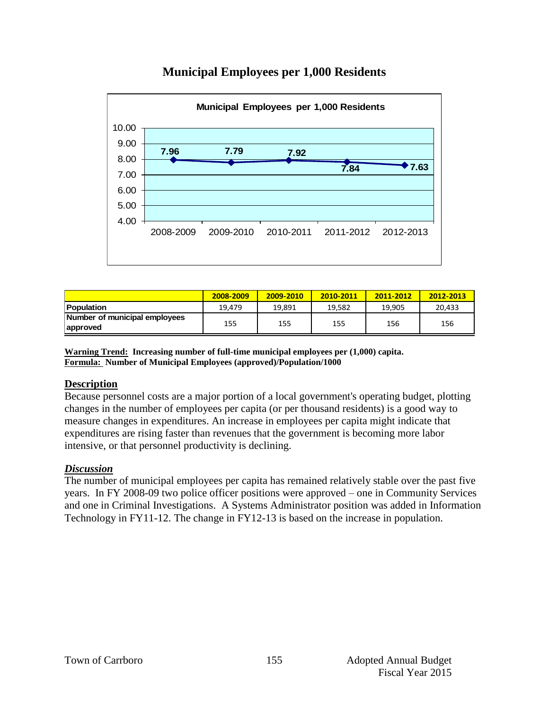

# **Municipal Employees per 1,000 Residents**

|                                           | 2008-2009 | 2009-2010 | 2010-2011 | 2011-2012 | 2012-2013 |
|-------------------------------------------|-----------|-----------|-----------|-----------|-----------|
| <b>Population</b>                         | 19.479    | 19.891    | 19.582    | 19.905    | 20,433    |
| Number of municipal employees<br>approved | 155       | 155       | 155       | 156       | 156       |

**Warning Trend: Increasing number of full-time municipal employees per (1,000) capita. Formula: Number of Municipal Employees (approved)/Population/1000**

#### **Description**

Because personnel costs are a major portion of a local government's operating budget, plotting changes in the number of employees per capita (or per thousand residents) is a good way to measure changes in expenditures. An increase in employees per capita might indicate that expenditures are rising faster than revenues that the government is becoming more labor intensive, or that personnel productivity is declining.

#### *Discussion*

The number of municipal employees per capita has remained relatively stable over the past five years. In FY 2008-09 two police officer positions were approved – one in Community Services and one in Criminal Investigations. A Systems Administrator position was added in Information Technology in FY11-12. The change in FY12-13 is based on the increase in population.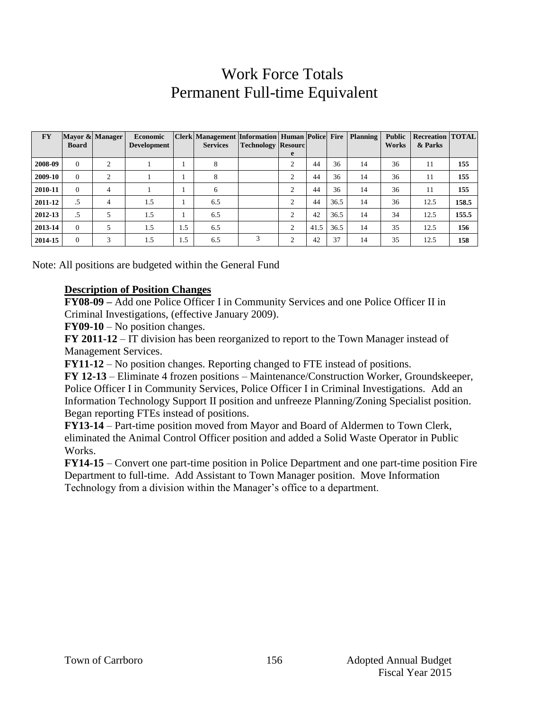# Work Force Totals Permanent Full-time Equivalent

| <b>FY</b> | <b>Board</b> | Mayor & Manager | <b>Economic</b><br>Development |     | Clerk   Management   Information   Human   Police   Fire<br><b>Services</b> | <b>Technology Resourc</b> | e |      |      | Planning | <b>Public</b><br>Works | <b>Recreation   TOTAL</b><br>& Parks |       |
|-----------|--------------|-----------------|--------------------------------|-----|-----------------------------------------------------------------------------|---------------------------|---|------|------|----------|------------------------|--------------------------------------|-------|
| 2008-09   | $\Omega$     | ◠               |                                |     | 8                                                                           |                           | 2 | 44   | 36   | 14       | 36                     | 11                                   | 155   |
| 2009-10   | $\Omega$     | ↑               |                                |     | 8                                                                           |                           | 2 | 44   | 36   | 14       | 36                     | 11                                   | 155   |
| 2010-11   | $\Omega$     | $\overline{4}$  |                                |     | 6                                                                           |                           | 2 | 44   | 36   | 14       | 36                     | 11                                   | 155   |
| 2011-12   | .5           | $\overline{4}$  | 1.5                            |     | 6.5                                                                         |                           | 2 | 44   | 36.5 | 14       | 36                     | 12.5                                 | 158.5 |
| 2012-13   | .5           | 5               | 1.5                            |     | 6.5                                                                         |                           | 2 | 42   | 36.5 | 14       | 34                     | 12.5                                 | 155.5 |
| 2013-14   | $\Omega$     | 5               | 1.5                            | 1.5 | 6.5                                                                         |                           | 2 | 41.5 | 36.5 | 14       | 35                     | 12.5                                 | 156   |
| 2014-15   | $\Omega$     | 3               | 1.5                            | 1.5 | 6.5                                                                         | 3                         | 2 | 42   | 37   | 14       | 35                     | 12.5                                 | 158   |

Note: All positions are budgeted within the General Fund

#### **Description of Position Changes**

**FY08-09 –** Add one Police Officer I in Community Services and one Police Officer II in Criminal Investigations, (effective January 2009).

**FY09-10** – No position changes.

**FY 2011-12** – IT division has been reorganized to report to the Town Manager instead of Management Services.

**FY11-12** – No position changes. Reporting changed to FTE instead of positions.

**FY 12-13** – Eliminate 4 frozen positions – Maintenance/Construction Worker, Groundskeeper, Police Officer I in Community Services, Police Officer I in Criminal Investigations. Add an Information Technology Support II position and unfreeze Planning/Zoning Specialist position. Began reporting FTEs instead of positions.

**FY13-14** – Part-time position moved from Mayor and Board of Aldermen to Town Clerk, eliminated the Animal Control Officer position and added a Solid Waste Operator in Public Works.

**FY14-15** – Convert one part-time position in Police Department and one part-time position Fire Department to full-time. Add Assistant to Town Manager position. Move Information Technology from a division within the Manager's office to a department.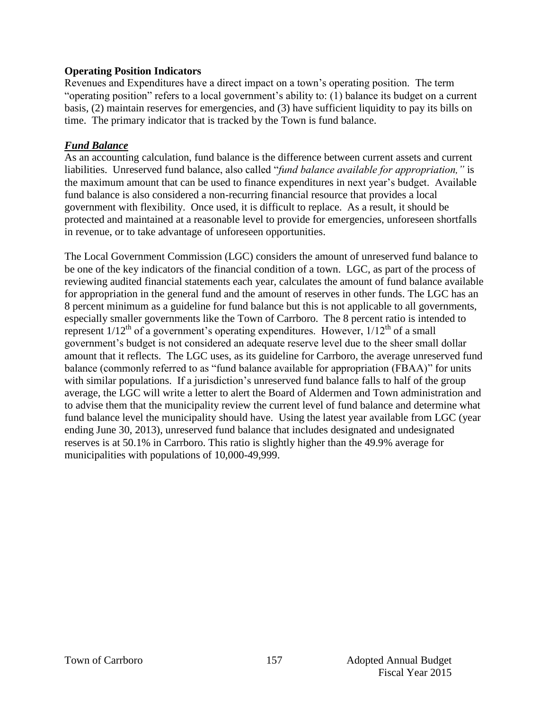#### **Operating Position Indicators**

Revenues and Expenditures have a direct impact on a town's operating position. The term "operating position" refers to a local government's ability to: (1) balance its budget on a current basis, (2) maintain reserves for emergencies, and (3) have sufficient liquidity to pay its bills on time. The primary indicator that is tracked by the Town is fund balance.

#### *Fund Balance*

As an accounting calculation, fund balance is the difference between current assets and current liabilities. Unreserved fund balance, also called "*fund balance available for appropriation,"* is the maximum amount that can be used to finance expenditures in next year's budget. Available fund balance is also considered a non-recurring financial resource that provides a local government with flexibility. Once used, it is difficult to replace. As a result, it should be protected and maintained at a reasonable level to provide for emergencies, unforeseen shortfalls in revenue, or to take advantage of unforeseen opportunities.

The Local Government Commission (LGC) considers the amount of unreserved fund balance to be one of the key indicators of the financial condition of a town. LGC, as part of the process of reviewing audited financial statements each year, calculates the amount of fund balance available for appropriation in the general fund and the amount of reserves in other funds. The LGC has an 8 percent minimum as a guideline for fund balance but this is not applicable to all governments, especially smaller governments like the Town of Carrboro. The 8 percent ratio is intended to represent  $1/12^{th}$  of a government's operating expenditures. However,  $1/12^{th}$  of a small government's budget is not considered an adequate reserve level due to the sheer small dollar amount that it reflects. The LGC uses, as its guideline for Carrboro, the average unreserved fund balance (commonly referred to as "fund balance available for appropriation (FBAA)" for units with similar populations. If a jurisdiction's unreserved fund balance falls to half of the group average, the LGC will write a letter to alert the Board of Aldermen and Town administration and to advise them that the municipality review the current level of fund balance and determine what fund balance level the municipality should have. Using the latest year available from LGC (year ending June 30, 2013), unreserved fund balance that includes designated and undesignated reserves is at 50.1% in Carrboro. This ratio is slightly higher than the 49.9% average for municipalities with populations of 10,000-49,999.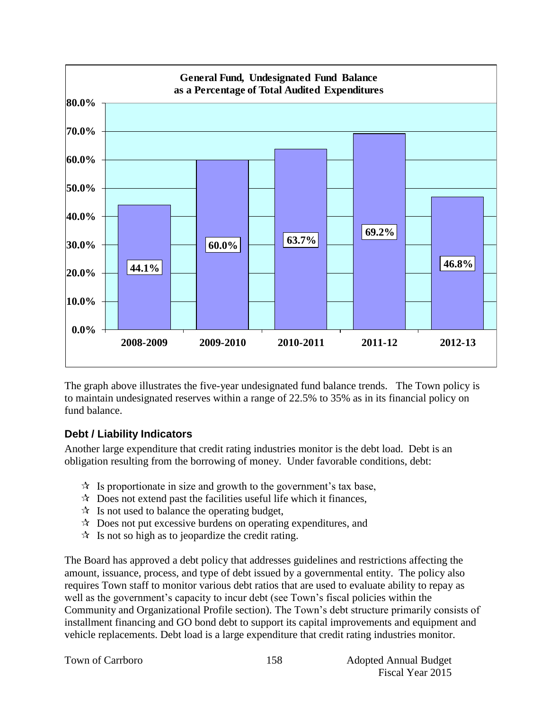

The graph above illustrates the five-year undesignated fund balance trends. The Town policy is to maintain undesignated reserves within a range of 22.5% to 35% as in its financial policy on fund balance.

#### **Debt / Liability Indicators**

Another large expenditure that credit rating industries monitor is the debt load. Debt is an obligation resulting from the borrowing of money. Under favorable conditions, debt:

- $\mathcal{R}$  Is proportionate in size and growth to the government's tax base,
- $\mathcal{R}$  Does not extend past the facilities useful life which it finances,
- $\mathcal{R}$  Is not used to balance the operating budget,
- $\mathcal{R}$  Does not put excessive burdens on operating expenditures, and
- $\mathcal{R}$  Is not so high as to jeopardize the credit rating.

The Board has approved a debt policy that addresses guidelines and restrictions affecting the amount, issuance, process, and type of debt issued by a governmental entity. The policy also requires Town staff to monitor various debt ratios that are used to evaluate ability to repay as well as the government's capacity to incur debt (see Town's fiscal policies within the Community and Organizational Profile section). The Town's debt structure primarily consists of installment financing and GO bond debt to support its capital improvements and equipment and vehicle replacements. Debt load is a large expenditure that credit rating industries monitor.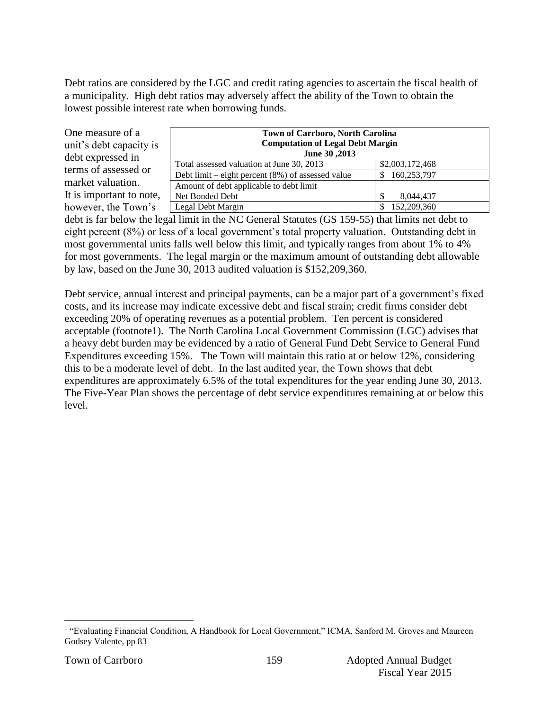Debt ratios are considered by the LGC and credit rating agencies to ascertain the fiscal health of a municipality. High debt ratios may adversely affect the ability of the Town to obtain the lowest possible interest rate when borrowing funds.

One measure of a unit's debt capacity is debt expressed in terms of assessed or market valuation. It is important to note, however, the Town's

| <b>Town of Carrboro, North Carolina</b>              |                 |  |  |  |  |  |  |  |
|------------------------------------------------------|-----------------|--|--|--|--|--|--|--|
| <b>Computation of Legal Debt Margin</b>              |                 |  |  |  |  |  |  |  |
| June 30, 2013                                        |                 |  |  |  |  |  |  |  |
| Total assessed valuation at June 30, 2013            | \$2,003,172,468 |  |  |  |  |  |  |  |
| Debt limit – eight percent $(8\%)$ of assessed value | 160,253,797     |  |  |  |  |  |  |  |
| Amount of debt applicable to debt limit              |                 |  |  |  |  |  |  |  |
| Net Bonded Debt                                      | 8,044,437       |  |  |  |  |  |  |  |
| Legal Debt Margin                                    | 152,209,360     |  |  |  |  |  |  |  |

debt is far below the legal limit in the NC General Statutes (GS 159-55) that limits net debt to eight percent (8%) or less of a local government's total property valuation. Outstanding debt in most governmental units falls well below this limit, and typically ranges from about 1% to 4% for most governments. The legal margin or the maximum amount of outstanding debt allowable by law, based on the June 30, 2013 audited valuation is \$152,209,360.

Debt service, annual interest and principal payments, can be a major part of a government's fixed costs, and its increase may indicate excessive debt and fiscal strain; credit firms consider debt exceeding 20% of operating revenues as a potential problem. Ten percent is considered acceptable (footnote1). The North Carolina Local Government Commission (LGC) advises that a heavy debt burden may be evidenced by a ratio of General Fund Debt Service to General Fund Expenditures exceeding 15%. The Town will maintain this ratio at or below 12%, considering this to be a moderate level of debt. In the last audited year, the Town shows that debt expenditures are approximately 6.5% of the total expenditures for the year ending June 30, 2013. The Five-Year Plan shows the percentage of debt service expenditures remaining at or below this level.

 1 "Evaluating Financial Condition, A Handbook for Local Government," ICMA, Sanford M. Groves and Maureen Godsey Valente, pp 83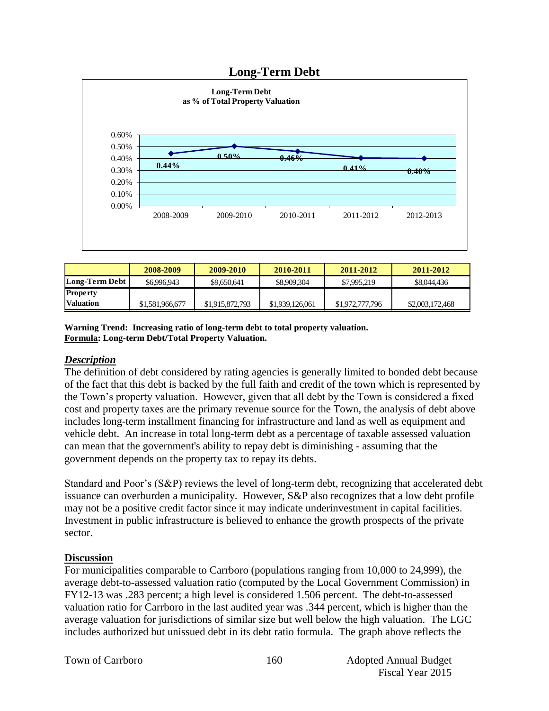#### **Long-Term Debt**



|                  | 2008-2009       | 2009-2010       | 2010-2011       | 2011-2012       | 2011-2012       |
|------------------|-----------------|-----------------|-----------------|-----------------|-----------------|
| Long-Term Debt   | \$6,996,943     | \$9,650,641     | \$8,909,304     | \$7,995,219     | \$8,044,436     |
| <b>Property</b>  |                 |                 |                 |                 |                 |
| <b>Valuation</b> | \$1,581,966,677 | \$1,915,872,793 | \$1,939,126,061 | \$1,972,777,796 | \$2,003,172,468 |

**Warning Trend: Increasing ratio of long-term debt to total property valuation. Formula: Long-term Debt/Total Property Valuation.**

#### *Description*

The definition of debt considered by rating agencies is generally limited to bonded debt because of the fact that this debt is backed by the full faith and credit of the town which is represented by the Town's property valuation. However, given that all debt by the Town is considered a fixed cost and property taxes are the primary revenue source for the Town, the analysis of debt above includes long-term installment financing for infrastructure and land as well as equipment and vehicle debt. An increase in total long-term debt as a percentage of taxable assessed valuation can mean that the government's ability to repay debt is diminishing - assuming that the government depends on the property tax to repay its debts.

Standard and Poor's (S&P) reviews the level of long-term debt, recognizing that accelerated debt issuance can overburden a municipality. However, S&P also recognizes that a low debt profile may not be a positive credit factor since it may indicate underinvestment in capital facilities. Investment in public infrastructure is believed to enhance the growth prospects of the private sector.

#### **Discussion**

For municipalities comparable to Carrboro (populations ranging from 10,000 to 24,999), the average debt-to-assessed valuation ratio (computed by the Local Government Commission) in FY12-13 was .283 percent; a high level is considered 1.506 percent. The debt-to-assessed valuation ratio for Carrboro in the last audited year was .344 percent, which is higher than the average valuation for jurisdictions of similar size but well below the high valuation. The LGC includes authorized but unissued debt in its debt ratio formula. The graph above reflects the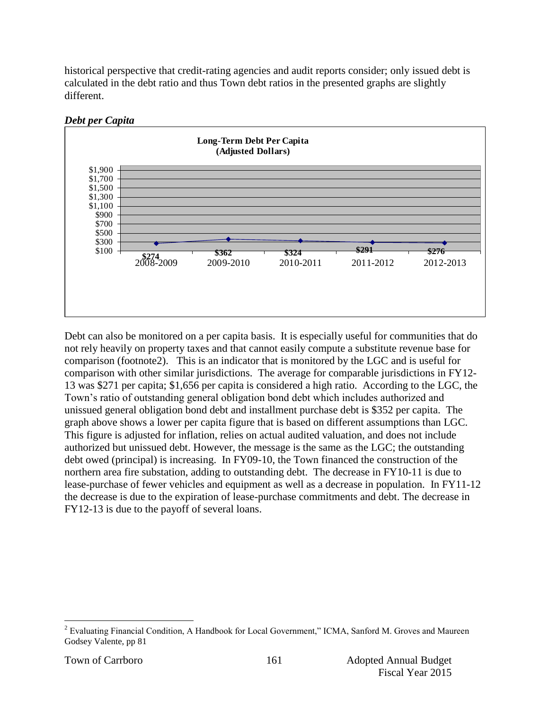historical perspective that credit-rating agencies and audit reports consider; only issued debt is calculated in the debt ratio and thus Town debt ratios in the presented graphs are slightly different.



#### *Debt per Capita*

Debt can also be monitored on a per capita basis. It is especially useful for communities that do not rely heavily on property taxes and that cannot easily compute a substitute revenue base for comparison (footnote2). This is an indicator that is monitored by the LGC and is useful for comparison with other similar jurisdictions. The average for comparable jurisdictions in FY12- 13 was \$271 per capita; \$1,656 per capita is considered a high ratio. According to the LGC, the Town's ratio of outstanding general obligation bond debt which includes authorized and unissued general obligation bond debt and installment purchase debt is \$352 per capita. The graph above shows a lower per capita figure that is based on different assumptions than LGC. This figure is adjusted for inflation, relies on actual audited valuation, and does not include authorized but unissued debt. However, the message is the same as the LGC; the outstanding debt owed (principal) is increasing. In FY09-10, the Town financed the construction of the northern area fire substation, adding to outstanding debt. The decrease in FY10-11 is due to lease-purchase of fewer vehicles and equipment as well as a decrease in population. In FY11-12 the decrease is due to the expiration of lease-purchase commitments and debt. The decrease in FY12-13 is due to the payoff of several loans.

 $\overline{a}$ 

 $2^{2}$  Evaluating Financial Condition, A Handbook for Local Government," ICMA, Sanford M. Groves and Maureen Godsey Valente, pp 81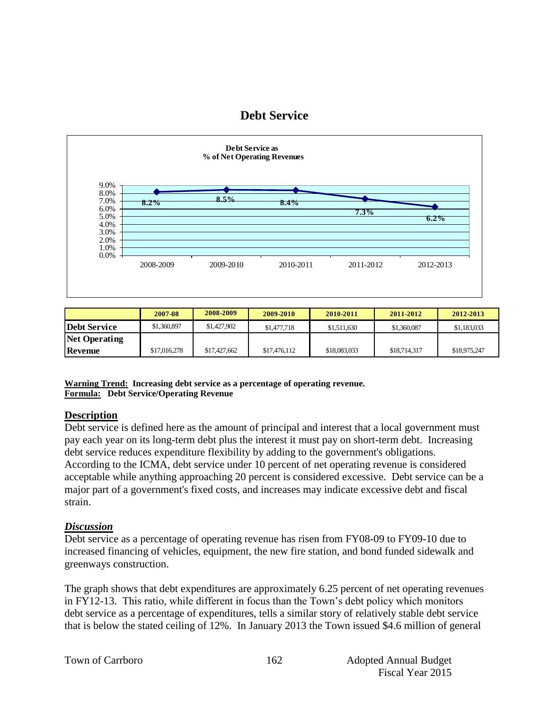### **Debt Service**



|                      | 2007-08      | 2008-2009    | 2009-2010    | 2010-2011    | 2011-2012    | 2012-2013    |
|----------------------|--------------|--------------|--------------|--------------|--------------|--------------|
| <b>Debt Service</b>  | \$1,360,897  | \$1,427,902  | \$1,477,718  | \$1,511,630  | \$1,360,087  | \$1,183,033  |
| <b>Net Operating</b> |              |              |              |              |              |              |
| <b>Revenue</b>       | \$17,016,278 | \$17,427,662 | \$17,476,112 | \$18,083,033 | \$18,714,317 | \$18,975,247 |

**Warning Trend: Increasing debt service as a percentage of operating revenue. Formula: Debt Service/Operating Revenue**

#### **Description**

Debt service is defined here as the amount of principal and interest that a local government must pay each year on its long-term debt plus the interest it must pay on short-term debt. Increasing debt service reduces expenditure flexibility by adding to the government's obligations. According to the ICMA, debt service under 10 percent of net operating revenue is considered acceptable while anything approaching 20 percent is considered excessive. Debt service can be a major part of a government's fixed costs, and increases may indicate excessive debt and fiscal strain.

#### *Discussion*

Debt service as a percentage of operating revenue has risen from FY08-09 to FY09-10 due to increased financing of vehicles, equipment, the new fire station, and bond funded sidewalk and greenways construction.

The graph shows that debt expenditures are approximately 6.25 percent of net operating revenues in FY12-13. This ratio, while different in focus than the Town's debt policy which monitors debt service as a percentage of expenditures, tells a similar story of relatively stable debt service that is below the stated ceiling of 12%. In January 2013 the Town issued \$4.6 million of general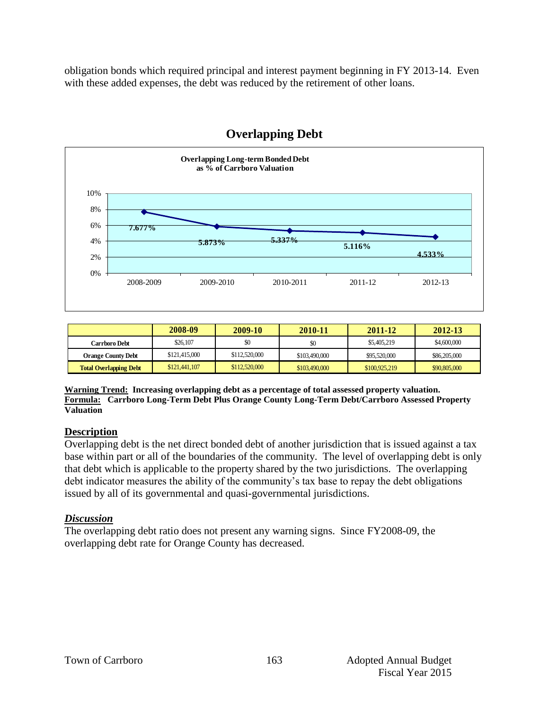obligation bonds which required principal and interest payment beginning in FY 2013-14. Even with these added expenses, the debt was reduced by the retirement of other loans.



## **Overlapping Debt**

|                               | 2008-09       | 2009-10       | 2010-11       | 2011-12       | $2012 - 13$  |
|-------------------------------|---------------|---------------|---------------|---------------|--------------|
| Carrboro Debt                 | \$26,107      | \$0           | \$0           | \$5,405,219   | \$4,600,000  |
| <b>Orange County Debt</b>     | \$121,415,000 | \$112,520,000 | \$103,490,000 | \$95,520,000  | \$86,205,000 |
| <b>Total Overlapping Debt</b> | \$121,441,107 | \$112,520,000 | \$103,490,000 | \$100,925,219 | \$90,805,000 |

**Warning Trend: Increasing overlapping debt as a percentage of total assessed property valuation. Formula: Carrboro Long-Term Debt Plus Orange County Long-Term Debt/Carrboro Assessed Property Valuation**

#### **Description**

Overlapping debt is the net direct bonded debt of another jurisdiction that is issued against a tax base within part or all of the boundaries of the community. The level of overlapping debt is only that debt which is applicable to the property shared by the two jurisdictions. The overlapping debt indicator measures the ability of the community's tax base to repay the debt obligations issued by all of its governmental and quasi-governmental jurisdictions.

#### *Discussion*

The overlapping debt ratio does not present any warning signs. Since FY2008-09, the overlapping debt rate for Orange County has decreased.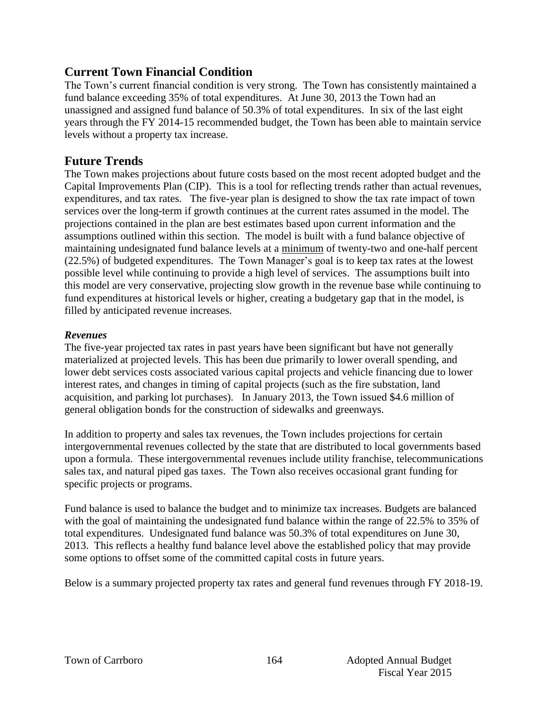# **Current Town Financial Condition**

The Town's current financial condition is very strong. The Town has consistently maintained a fund balance exceeding 35% of total expenditures. At June 30, 2013 the Town had an unassigned and assigned fund balance of 50.3% of total expenditures. In six of the last eight years through the FY 2014-15 recommended budget, the Town has been able to maintain service levels without a property tax increase.

# **Future Trends**

The Town makes projections about future costs based on the most recent adopted budget and the Capital Improvements Plan (CIP). This is a tool for reflecting trends rather than actual revenues, expenditures, and tax rates. The five-year plan is designed to show the tax rate impact of town services over the long-term if growth continues at the current rates assumed in the model. The projections contained in the plan are best estimates based upon current information and the assumptions outlined within this section. The model is built with a fund balance objective of maintaining undesignated fund balance levels at a minimum of twenty-two and one-half percent (22.5%) of budgeted expenditures. The Town Manager's goal is to keep tax rates at the lowest possible level while continuing to provide a high level of services. The assumptions built into this model are very conservative, projecting slow growth in the revenue base while continuing to fund expenditures at historical levels or higher, creating a budgetary gap that in the model, is filled by anticipated revenue increases.

#### *Revenues*

The five-year projected tax rates in past years have been significant but have not generally materialized at projected levels. This has been due primarily to lower overall spending, and lower debt services costs associated various capital projects and vehicle financing due to lower interest rates, and changes in timing of capital projects (such as the fire substation, land acquisition, and parking lot purchases). In January 2013, the Town issued \$4.6 million of general obligation bonds for the construction of sidewalks and greenways.

In addition to property and sales tax revenues, the Town includes projections for certain intergovernmental revenues collected by the state that are distributed to local governments based upon a formula. These intergovernmental revenues include utility franchise, telecommunications sales tax, and natural piped gas taxes. The Town also receives occasional grant funding for specific projects or programs.

Fund balance is used to balance the budget and to minimize tax increases. Budgets are balanced with the goal of maintaining the undesignated fund balance within the range of 22.5% to 35% of total expenditures. Undesignated fund balance was 50.3% of total expenditures on June 30, 2013. This reflects a healthy fund balance level above the established policy that may provide some options to offset some of the committed capital costs in future years.

Below is a summary projected property tax rates and general fund revenues through FY 2018-19.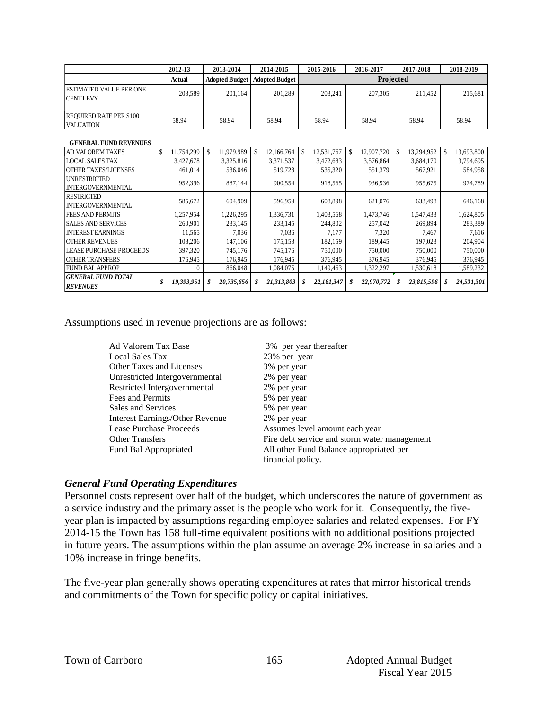|                                                    | 2012-13                     | 2013-2014                   | 2014-2015             | 2015-2016                  | 2016-2017        | 2017-2018        | 2018-2019        |
|----------------------------------------------------|-----------------------------|-----------------------------|-----------------------|----------------------------|------------------|------------------|------------------|
|                                                    | <b>Actual</b>               | <b>Adopted Budget</b>       | <b>Adopted Budget</b> |                            |                  | Projected        |                  |
| ESTIMATED VALUE PER ONE<br><b>CENTLEVY</b>         | 203,589                     | 201,164                     | 201,289               | 203,241                    | 207,305          | 211,452          | 215,681          |
| <b>REQUIRED RATE PER \$100</b><br><b>VALUATION</b> | 58.94                       | 58.94                       | 58.94                 | 58.94                      | 58.94            | 58.94            | 58.94            |
| <b>GENERAL FUND REVENUES</b>                       |                             |                             |                       |                            |                  |                  |                  |
| AD VALOREM TAXES                                   | $\mathcal{S}$<br>11,754,299 | 11,979,989<br><sup>\$</sup> | \$<br>12,166,764      | $\mathbb{S}$<br>12,531,767 | \$<br>12,907,720 | \$<br>13,294,952 | \$<br>13,693,800 |
| <b>LOCAL SALES TAX</b>                             | 3,427,678                   | 3,325,816                   | 3,371,537             | 3,472,683                  | 3,576,864        | 3,684,170        | 3,794,695        |
| <b>OTHER TAXES/LICENSES</b>                        | 461.014                     | 536,046                     | 519,728               | 535,320                    | 551,379          | 567,921          | 584,958          |
| <b>UNRESTRICTED</b><br><b>INTERGOVERNMENTAL</b>    | 952,396                     | 887.144                     | 900,554               | 918,565                    | 936,936          | 955,675          | 974,789          |
| <b>RESTRICTED</b><br><b>INTERGOVERNMENTAL</b>      | 585,672                     | 604,909                     | 596.959               | 608.898                    | 621,076          | 633,498          | 646,168          |
| <b>FEES AND PERMITS</b>                            | 1,257,954                   | 1,226,295                   | 1,336,731             | 1,403,568                  | 1,473,746        | 1,547,433        | 1,624,805        |
| <b>SALES AND SERVICES</b>                          | 260.901                     | 233,145                     | 233,145               | 244,802                    | 257,042          | 269.894          | 283,389          |
| <b>INTEREST EARNINGS</b>                           | 11.565                      | 7,036                       | 7.036                 | 7.177                      | 7.320            | 7.467            | 7,616            |
| <b>OTHER REVENUES</b>                              | 108,206                     | 147,106                     | 175.153               | 182.159                    | 189,445          | 197.023          | 204,904          |
| <b>LEASE PURCHASE PROCEEDS</b>                     | 397,320                     | 745,176                     | 745,176               | 750,000                    | 750,000          | 750,000          | 750,000          |
| <b>OTHER TRANSFERS</b>                             | 176.945                     | 176,945                     | 176,945               | 376.945                    | 376,945          | 376,945          | 376,945          |
| <b>FUND BAL APPROP</b>                             | 0                           | 866,048                     | 1,084,075             | 1,149,463                  | 1,322,297        | 1,530,618        | 1,589,232        |
| <b>GENERAL FUND TOTAL</b><br><b>REVENUES</b>       | 19,393,951<br>\$            | \$<br>20,735,656            | 21,313,803<br>S       | 22,181,347<br>\$           | \$<br>22,970,772 | 23,815,596<br>S  | 24,531,301<br>S  |

Assumptions used in revenue projections are as follows:

| Ad Valorem Tax Base             | 3% per year thereafter                       |
|---------------------------------|----------------------------------------------|
| Local Sales Tax                 | 23% per year                                 |
| <b>Other Taxes and Licenses</b> | 3% per year                                  |
| Unrestricted Intergovernmental  | 2% per year                                  |
| Restricted Intergovernmental    | 2% per year                                  |
| Fees and Permits                | 5% per year                                  |
| Sales and Services              | 5% per year                                  |
| Interest Earnings/Other Revenue | 2% per year                                  |
| Lease Purchase Proceeds         | Assumes level amount each year               |
| <b>Other Transfers</b>          | Fire debt service and storm water management |
| Fund Bal Appropriated           | All other Fund Balance appropriated per      |
|                                 | financial policy.                            |

#### *General Fund Operating Expenditures*

Personnel costs represent over half of the budget, which underscores the nature of government as a service industry and the primary asset is the people who work for it. Consequently, the fiveyear plan is impacted by assumptions regarding employee salaries and related expenses. For FY 2014-15 the Town has 158 full-time equivalent positions with no additional positions projected in future years. The assumptions within the plan assume an average 2% increase in salaries and a 10% increase in fringe benefits.

The five-year plan generally shows operating expenditures at rates that mirror historical trends and commitments of the Town for specific policy or capital initiatives.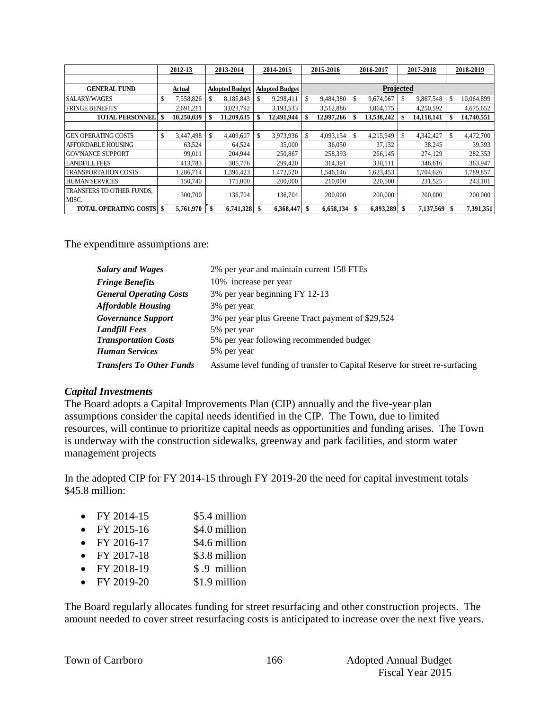|                                    |    | 2012-13    |    | 2013-2014             | 2014-2015             | 2015-2016       | 2016-2017        | 2017-2018        |    | 2018-2019  |
|------------------------------------|----|------------|----|-----------------------|-----------------------|-----------------|------------------|------------------|----|------------|
|                                    |    |            |    |                       |                       |                 |                  |                  |    |            |
| <b>GENERAL FUND</b>                |    | Actual     |    | <b>Adopted Budget</b> | <b>Adopted Budget</b> |                 | Projected        |                  |    |            |
| <b>SALARY/WAGES</b>                | \$ | 7,558,826  | S  | 8,185,843             | 9,298,411             | \$<br>9,484,380 | \$<br>9,674,067  | 9,867,548        |    | 10,064,899 |
| <b>FRINGE BENEFITS</b>             |    | 2,691,211  |    | 3,023,792             | 3,193,533             | 3,512,886       | 3,864,175        | 4,250,592        |    | 4,675,652  |
| <b>TOTAL PERSONNEL</b>             | \$ | 10,250,039 | \$ | 11,209,635            | 12,491,944            | 12,997,266      | \$<br>13,538,242 | \$<br>14,118,141 |    | 14,740,551 |
|                                    |    |            |    |                       |                       |                 |                  |                  |    |            |
| <b>GEN OPERATING COSTS</b>         | S  | 3,447,498  | -S | 4,409,607             | 3,973,936             | \$<br>4,093,154 | \$<br>4,215,949  | \$<br>4,342,427  |    | 4,472,700  |
| <b>AFFORDABLE HOUSING</b>          |    | 63,524     |    | 64,524                | 35,000                | 36,050          | 37,132           | 38,245           |    | 39,393     |
| <b>GOV'NANCE SUPPORT</b>           |    | 99.011     |    | 204,944               | 250,867               | 258,393         | 266,145          | 274,129          |    | 282,353    |
| <b>LANDFILL FEES</b>               |    | 413,783    |    | 305,776               | 299,420               | 314,391         | 330,111          | 346,616          |    | 363,947    |
| <b>TRANSPORTATION COSTS</b>        |    | 1,286,714  |    | 1,396,423             | 1,472,520             | 1,546,146       | 1,623,453        | 1,704,626        |    | 1,789,857  |
| <b>HUMAN SERVICES</b>              |    | 150.740    |    | 175,000               | 200,000               | 210,000         | 220,500          | 231,525          |    | 243,101    |
| TRANSFERS TO OTHER FUNDS,<br>MISC. |    | 300,700    |    | 136,704               | 136,704               | 200,000         | 200,000          | 200,000          |    | 200,000    |
| <b>TOTAL OPERATING COSTS \\$</b>   |    | 5,761,970  |    | 6,741,328 \$          | 6,368,447             | 6,658,134       | 6,893,289        | 7,137,569        | -S | 7,391,351  |

The expenditure assumptions are:

| <b>Salary and Wages</b>         | 2% per year and maintain current 158 FTEs                                   |
|---------------------------------|-----------------------------------------------------------------------------|
| <b>Fringe Benefits</b>          | 10% increase per year                                                       |
| <b>General Operating Costs</b>  | 3% per year beginning FY 12-13                                              |
| <b>Affordable Housing</b>       | 3% per year                                                                 |
| <b>Governance Support</b>       | 3% per year plus Greene Tract payment of \$29,524                           |
| <b>Landfill Fees</b>            | 5% per year                                                                 |
| <b>Transportation Costs</b>     | 5% per year following recommended budget                                    |
| <b>Human Services</b>           | 5% per year                                                                 |
| <b>Transfers To Other Funds</b> | Assume level funding of transfer to Capital Reserve for street re-surfacing |

#### *Capital Investments*

The Board adopts a Capital Improvements Plan (CIP) annually and the five-year plan assumptions consider the capital needs identified in the CIP. The Town, due to limited resources, will continue to prioritize capital needs as opportunities and funding arises. The Town is underway with the construction sidewalks, greenway and park facilities, and storm water management projects

In the adopted CIP for FY 2014-15 through FY 2019-20 the need for capital investment totals \$45.8 million:

| FY 2014-15 | \$5.4 million |
|------------|---------------|
|------------|---------------|

- $FY 2015-16$   $$4.0$  million
- $FY 2016-17$  \$4.6 million
- FY 2017-18  $$3.8$  million
- $FY 2018-19$  \$.9 million
- FY 2019-20 \$1.9 million

The Board regularly allocates funding for street resurfacing and other construction projects. The amount needed to cover street resurfacing costs is anticipated to increase over the next five years.